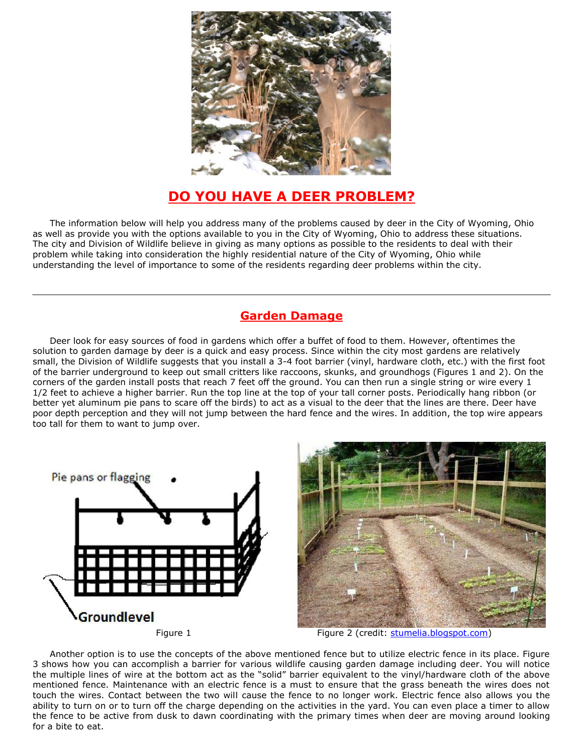

# **DO YOU HAVE A DEER PROBLEM?**

The information below will help you address many of the problems caused by deer in the City of Wyoming, Ohio as well as provide you with the options available to you in the City of Wyoming, Ohio to address these situations. The city and Division of Wildlife believe in giving as many options as possible to the residents to deal with their problem while taking into consideration the highly residential nature of the City of Wyoming, Ohio while understanding the level of importance to some of the residents regarding deer problems within the city.

### **Garden Damage**

Deer look for easy sources of food in gardens which offer a buffet of food to them. However, oftentimes the solution to garden damage by deer is a quick and easy process. Since within the city most gardens are relatively small, the Division of Wildlife suggests that you install a 3-4 foot barrier (vinyl, hardware cloth, etc.) with the first foot of the barrier underground to keep out small critters like raccoons, skunks, and groundhogs (Figures 1 and 2). On the corners of the garden install posts that reach 7 feet off the ground. You can then run a single string or wire every 1 1/2 feet to achieve a higher barrier. Run the top line at the top of your tall corner posts. Periodically hang ribbon (or better yet aluminum pie pans to scare off the birds) to act as a visual to the deer that the lines are there. Deer have poor depth perception and they will not jump between the hard fence and the wires. In addition, the top wire appears too tall for them to want to jump over.





Figure 1 **Figure 2** (credit: [stumelia.blogspot.com\)](http://stumelia.blogspot.com/)

Another option is to use the concepts of the above mentioned fence but to utilize electric fence in its place. Figure 3 shows how you can accomplish a barrier for various wildlife causing garden damage including deer. You will notice the multiple lines of wire at the bottom act as the "solid" barrier equivalent to the vinyl/hardware cloth of the above mentioned fence. Maintenance with an electric fence is a must to ensure that the grass beneath the wires does not touch the wires. Contact between the two will cause the fence to no longer work. Electric fence also allows you the ability to turn on or to turn off the charge depending on the activities in the yard. You can even place a timer to allow the fence to be active from dusk to dawn coordinating with the primary times when deer are moving around looking for a bite to eat.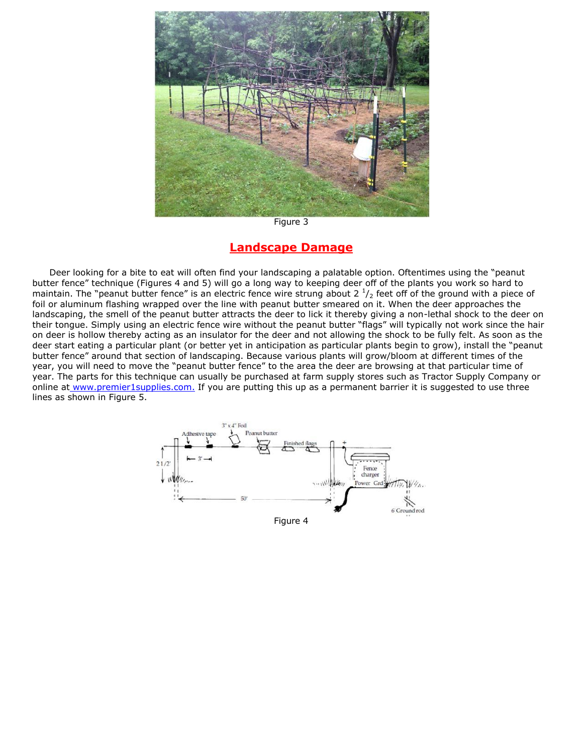

Figure 3

#### **Landscape Damage**

Deer looking for a bite to eat will often find your landscaping a palatable option. Oftentimes using the "peanut butter fence" technique (Figures 4 and 5) will go a long way to keeping deer off of the plants you work so hard to maintain. The "peanut butter fence" is an electric fence wire strung about 2  $\frac{1}{2}$  feet off of the ground with a piece of foil or aluminum flashing wrapped over the line with peanut butter smeared on it. When the deer approaches the landscaping, the smell of the peanut butter attracts the deer to lick it thereby giving a non-lethal shock to the deer on their tongue. Simply using an electric fence wire without the peanut butter "flags" will typically not work since the hair on deer is hollow thereby acting as an insulator for the deer and not allowing the shock to be fully felt. As soon as the deer start eating a particular plant (or better yet in anticipation as particular plants begin to grow), install the "peanut butter fence" around that section of landscaping. Because various plants will grow/bloom at different times of the year, you will need to move the "peanut butter fence" to the area the deer are browsing at that particular time of year. The parts for this technique can usually be purchased at farm supply stores such as Tractor Supply Company or online at [www.premier1supplies.com.](http://www.premier1supplies.com/) If you are putting this up as a permanent barrier it is suggested to use three lines as shown in Figure 5.

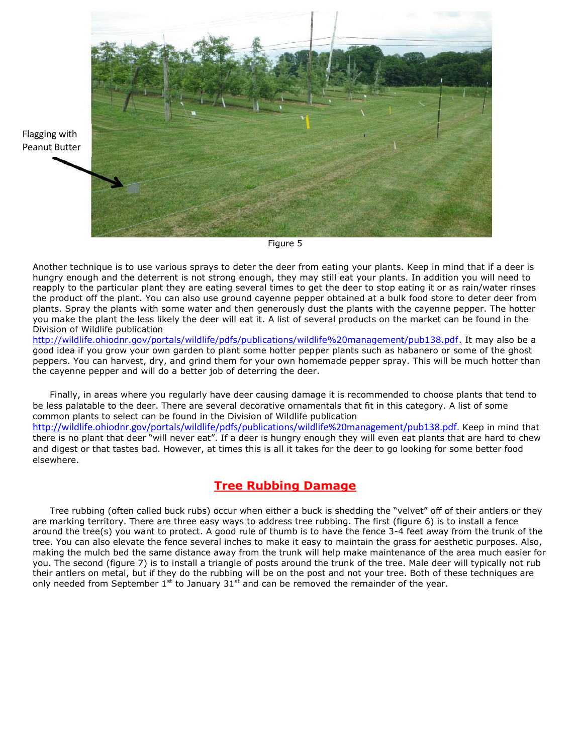

Figure 5

Another technique is to use various sprays to deter the deer from eating your plants. Keep in mind that if a deer is hungry enough and the deterrent is not strong enough, they may still eat your plants. In addition you will need to reapply to the particular plant they are eating several times to get the deer to stop eating it or as rain/water rinses the product off the plant. You can also use ground cayenne pepper obtained at a bulk food store to deter deer from plants. Spray the plants with some water and then generously dust the plants with the cayenne pepper. The hotter you make the plant the less likely the deer will eat it. A list of several products on the market can be found in the Division of Wildlife publication

[http://wildlife.ohiodnr.gov/portals/wildlife/pdfs/publications/wildlife%20management/pub138.pdf.](http://wildlife.ohiodnr.gov/portals/wildlife/pdfs/publications/wildlife%2520management/pub138.pdf) It may also be a good idea if you grow your own garden to plant some hotter pepper plants such as habanero or some of the ghost peppers. You can harvest, dry, and grind them for your own homemade pepper spray. This will be much hotter than the cayenne pepper and will do a better job of deterring the deer.

Finally, in areas where you regularly have deer causing damage it is recommended to choose plants that tend to be less palatable to the deer. There are several decorative ornamentals that fit in this category. A list of some common plants to select can be found in the Division of Wildlife publication [http://wildlife.ohiodnr.gov/portals/wildlife/pdfs/publications/wildlife%20management/pub138.pdf.](http://wildlife.ohiodnr.gov/portals/wildlife/pdfs/publications/wildlife%2520management/pub138.pdf) Keep in mind that there is no plant that deer "will never eat". If a deer is hungry enough they will even eat plants that are hard to chew and digest or that tastes bad. However, at times this is all it takes for the deer to go looking for some better food elsewhere.

## **Tree Rubbing Damage**

Tree rubbing (often called buck rubs) occur when either a buck is shedding the "velvet" off of their antlers or they are marking territory. There are three easy ways to address tree rubbing. The first (figure 6) is to install a fence around the tree(s) you want to protect. A good rule of thumb is to have the fence 3-4 feet away from the trunk of the tree. You can also elevate the fence several inches to make it easy to maintain the grass for aesthetic purposes. Also, making the mulch bed the same distance away from the trunk will help make maintenance of the area much easier for you. The second (figure 7) is to install a triangle of posts around the trunk of the tree. Male deer will typically not rub their antlers on metal, but if they do the rubbing will be on the post and not your tree. Both of these techniques are only needed from September  $1<sup>st</sup>$  to January 31<sup>st</sup> and can be removed the remainder of the year.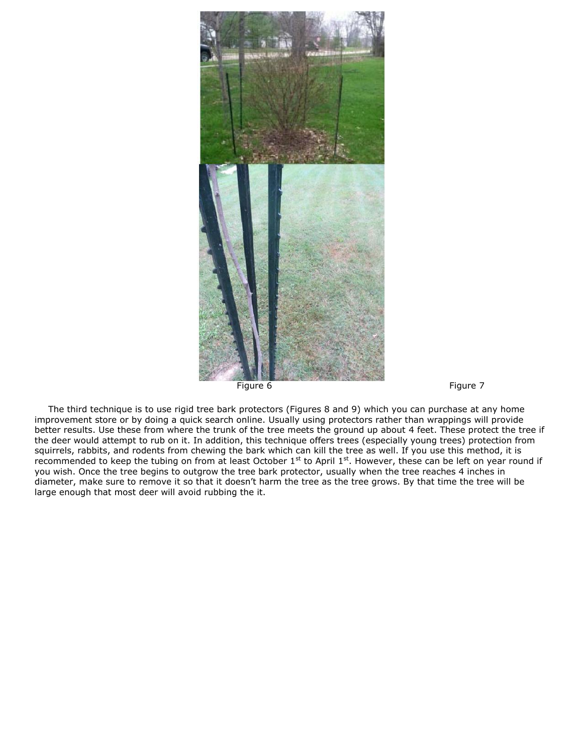



The third technique is to use rigid tree bark protectors (Figures 8 and 9) which you can purchase at any home improvement store or by doing a quick search online. Usually using protectors rather than wrappings will provide better results. Use these from where the trunk of the tree meets the ground up about 4 feet. These protect the tree if the deer would attempt to rub on it. In addition, this technique offers trees (especially young trees) protection from squirrels, rabbits, and rodents from chewing the bark which can kill the tree as well. If you use this method, it is recommended to keep the tubing on from at least October  $1^{st}$  to April  $1^{st}$ . However, these can be left on year round if you wish. Once the tree begins to outgrow the tree bark protector, usually when the tree reaches 4 inches in diameter, make sure to remove it so that it doesn't harm the tree as the tree grows. By that time the tree will be large enough that most deer will avoid rubbing the it.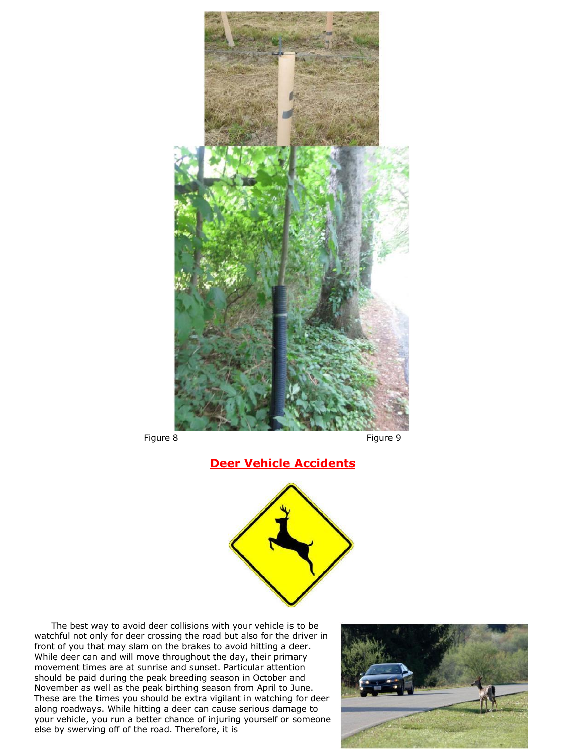

## **Deer Vehicle Accidents**



The best way to avoid deer collisions with your vehicle is to be watchful not only for deer crossing the road but also for the driver in front of you that may slam on the brakes to avoid hitting a deer. While deer can and will move throughout the day, their primary movement times are at sunrise and sunset. Particular attention should be paid during the peak breeding season in October and November as well as the peak birthing season from April to June. These are the times you should be extra vigilant in watching for deer along roadways. While hitting a deer can cause serious damage to your vehicle, you run a better chance of injuring yourself or someone else by swerving off of the road. Therefore, it is

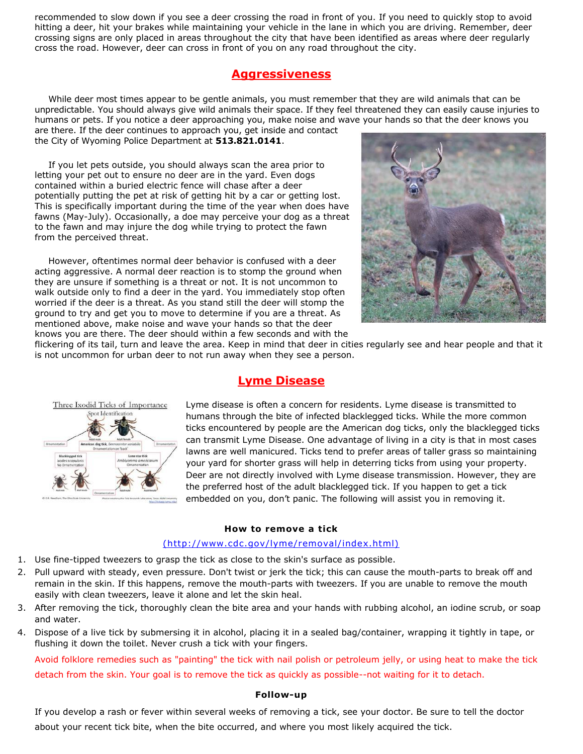recommended to slow down if you see a deer crossing the road in front of you. If you need to quickly stop to avoid hitting a deer, hit your brakes while maintaining your vehicle in the lane in which you are driving. Remember, deer crossing signs are only placed in areas throughout the city that have been identified as areas where deer regularly cross the road. However, deer can cross in front of you on any road throughout the city.

### **Aggressiveness**

While deer most times appear to be gentle animals, you must remember that they are wild animals that can be unpredictable. You should always give wild animals their space. If they feel threatened they can easily cause injuries to humans or pets. If you notice a deer approaching you, make noise and wave your hands so that the deer knows you

are there. If the deer continues to approach you, get inside and contact the City of Wyoming Police Department at **513.821.0141**.

If you let pets outside, you should always scan the area prior to letting your pet out to ensure no deer are in the yard. Even dogs contained within a buried electric fence will chase after a deer potentially putting the pet at risk of getting hit by a car or getting lost. This is specifically important during the time of the year when does have fawns (May-July). Occasionally, a doe may perceive your dog as a threat to the fawn and may injure the dog while trying to protect the fawn from the perceived threat.

However, oftentimes normal deer behavior is confused with a deer acting aggressive. A normal deer reaction is to stomp the ground when they are unsure if something is a threat or not. It is not uncommon to walk outside only to find a deer in the yard. You immediately stop often worried if the deer is a threat. As you stand still the deer will stomp the ground to try and get you to move to determine if you are a threat. As mentioned above, make noise and wave your hands so that the deer knows you are there. The deer should within a few seconds and with the



flickering of its tail, turn and leave the area. Keep in mind that deer in cities regularly see and hear people and that it is not uncommon for urban deer to not run away when they see a person.



### **Lyme Disease**

Lyme disease is often a concern for residents. Lyme disease is transmitted to humans through the bite of infected blacklegged ticks. While the more common ticks encountered by people are the American dog ticks, only the blacklegged ticks can transmit Lyme Disease. One advantage of living in a city is that in most cases lawns are well manicured. Ticks tend to prefer areas of taller grass so maintaining your yard for shorter grass will help in deterring ticks from using your property. Deer are not directly involved with Lyme disease transmission. However, they are the preferred host of the adult blacklegged tick. If you happen to get a tick embedded on you, don't panic. The following will assist you in removing it.

#### **How to remove a tick**

#### [\(http://www.cdc.gov/lyme/removal/index.html\)](http://www.cdc.gov/lyme/removal/index.html))

- 1. Use fine-tipped tweezers to grasp the tick as close to the skin's surface as possible.
- 2. Pull upward with steady, even pressure. Don't twist or jerk the tick; this can cause the mouth-parts to break off and remain in the skin. If this happens, remove the mouth-parts with tweezers. If you are unable to remove the mouth easily with clean tweezers, leave it alone and let the skin heal.
- 3. After removing the tick, thoroughly clean the bite area and your hands with rubbing alcohol, an iodine scrub, or soap and water.
- 4. Dispose of a live tick by submersing it in alcohol, placing it in a sealed bag/container, wrapping it tightly in tape, or flushing it down the toilet. Never crush a tick with your fingers.

Avoid folklore remedies such as "painting" the tick with nail polish or petroleum jelly, or using heat to make the tick detach from the skin. Your goal is to remove the tick as quickly as possible--not waiting for it to detach.

#### **Follow-up**

If you develop a rash or fever within several weeks of removing a tick, see your doctor. Be sure to tell the doctor about your recent tick bite, when the bite occurred, and where you most likely acquired the tick.